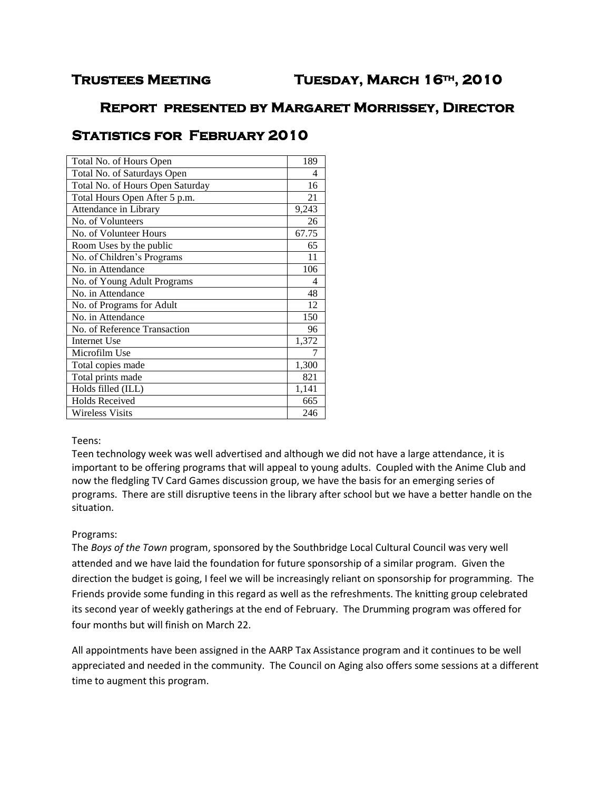# **Trustees Meeting Tuesday, March 16th, 2010**

## **Report presented by Margaret Morrissey, Director**

# **Statistics for February 2010**

| 189   |
|-------|
| 4     |
| 16    |
| 21    |
| 9,243 |
| 26    |
| 67.75 |
| 65    |
| 11    |
| 106   |
| 4     |
| 48    |
| 12    |
| 150   |
| 96    |
| 1,372 |
| 7     |
| 1,300 |
| 821   |
| 1,141 |
| 665   |
| 246   |
|       |

#### Teens:

Teen technology week was well advertised and although we did not have a large attendance, it is important to be offering programs that will appeal to young adults. Coupled with the Anime Club and now the fledgling TV Card Games discussion group, we have the basis for an emerging series of programs. There are still disruptive teens in the library after school but we have a better handle on the situation.

### Programs:

The *Boys of the Town* program, sponsored by the Southbridge Local Cultural Council was very well attended and we have laid the foundation for future sponsorship of a similar program. Given the direction the budget is going, I feel we will be increasingly reliant on sponsorship for programming. The Friends provide some funding in this regard as well as the refreshments. The knitting group celebrated its second year of weekly gatherings at the end of February. The Drumming program was offered for four months but will finish on March 22.

All appointments have been assigned in the AARP Tax Assistance program and it continues to be well appreciated and needed in the community. The Council on Aging also offers some sessions at a different time to augment this program.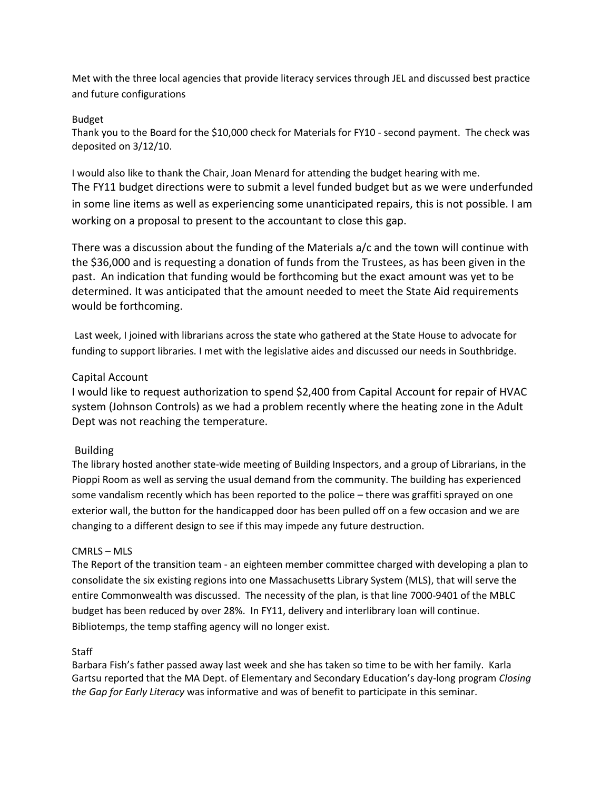Met with the three local agencies that provide literacy services through JEL and discussed best practice and future configurations

#### Budget

Thank you to the Board for the \$10,000 check for Materials for FY10 - second payment. The check was deposited on 3/12/10.

I would also like to thank the Chair, Joan Menard for attending the budget hearing with me. The FY11 budget directions were to submit a level funded budget but as we were underfunded in some line items as well as experiencing some unanticipated repairs, this is not possible. I am working on a proposal to present to the accountant to close this gap.

There was a discussion about the funding of the Materials a/c and the town will continue with the \$36,000 and is requesting a donation of funds from the Trustees, as has been given in the past. An indication that funding would be forthcoming but the exact amount was yet to be determined. It was anticipated that the amount needed to meet the State Aid requirements would be forthcoming.

Last week, I joined with librarians across the state who gathered at the State House to advocate for funding to support libraries. I met with the legislative aides and discussed our needs in Southbridge.

### Capital Account

I would like to request authorization to spend \$2,400 from Capital Account for repair of HVAC system (Johnson Controls) as we had a problem recently where the heating zone in the Adult Dept was not reaching the temperature.

### Building

The library hosted another state-wide meeting of Building Inspectors, and a group of Librarians, in the Pioppi Room as well as serving the usual demand from the community. The building has experienced some vandalism recently which has been reported to the police – there was graffiti sprayed on one exterior wall, the button for the handicapped door has been pulled off on a few occasion and we are changing to a different design to see if this may impede any future destruction.

### CMRLS – MLS

The Report of the transition team - an eighteen member committee charged with developing a plan to consolidate the six existing regions into one Massachusetts Library System (MLS), that will serve the entire Commonwealth was discussed. The necessity of the plan, is that line 7000-9401 of the MBLC budget has been reduced by over 28%. In FY11, delivery and interlibrary loan will continue. Bibliotemps, the temp staffing agency will no longer exist.

### **Staff**

Barbara Fish's father passed away last week and she has taken so time to be with her family. Karla Gartsu reported that the MA Dept. of Elementary and Secondary Education's day-long program *Closing the Gap for Early Literacy* was informative and was of benefit to participate in this seminar.